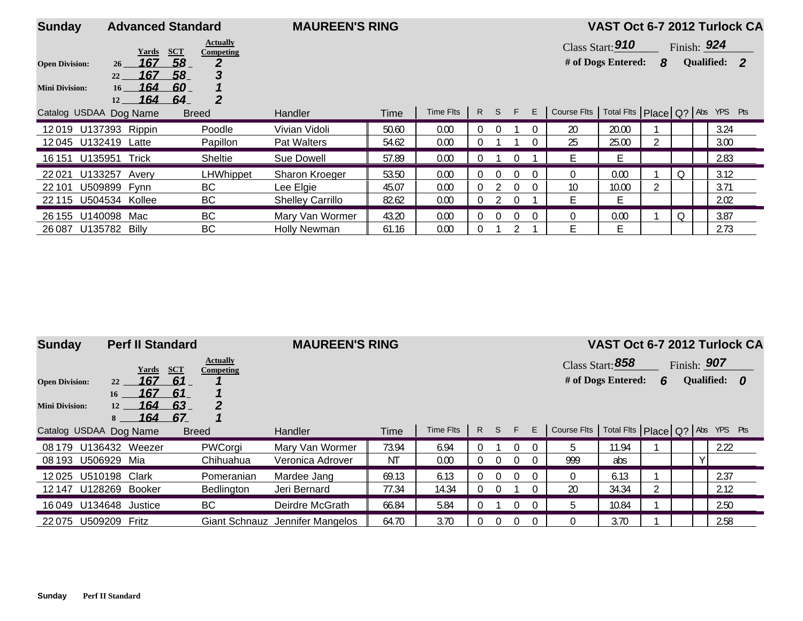| <b>Sunday</b>          |                                                  | <b>Advanced Standard</b>                   | <b>MAUREEN'S RING</b>   |       |           |          |          |          |          |             | VAST Oct 6-7 2012 Turlock CA          |   |   |             |              |  |
|------------------------|--------------------------------------------------|--------------------------------------------|-------------------------|-------|-----------|----------|----------|----------|----------|-------------|---------------------------------------|---|---|-------------|--------------|--|
|                        | Yards                                            | <b>Actually</b><br><b>SCT</b><br>Competing |                         |       |           |          |          |          |          |             | Class Start: 910                      |   |   | Finish: 924 |              |  |
| <b>Open Division:</b>  | 167<br>26 <sup>2</sup>                           | 58                                         |                         |       |           |          |          |          |          |             | # of Dogs Entered:                    | 8 |   |             | Qualified: 2 |  |
| <b>Mini Division:</b>  | 167<br>22<br>164<br>16 <sup>1</sup><br>164<br>12 | 3<br>58<br>60.<br>2<br>_64_                |                         |       |           |          |          |          |          |             |                                       |   |   |             |              |  |
| Catalog USDAA Dog Name |                                                  | <b>Breed</b>                               | <b>Handler</b>          | Time  | Time Flts | R        |          | S F      | E        | Course Flts | Total Fits   Place   Q?   Abs YPS Pts |   |   |             |              |  |
| 12019 U137393 Rippin   |                                                  | Poodle                                     | Vivian Vidoli           | 50.60 | 0.00      | $\Omega$ | $\Omega$ |          | $\Omega$ | 20          | 20.00                                 |   |   |             | 3.24         |  |
| 12045 U132419 Latte    |                                                  | Papillon                                   | Pat Walters             | 54.62 | 0.00      | 0        |          |          | $\Omega$ | 25          | 25.00                                 |   |   |             | 3.00         |  |
| 16 151 U135951         | Trick                                            | <b>Sheltie</b>                             | Sue Dowell              | 57.89 | 0.00      | 0        |          |          |          | E.          | Ŀ.                                    |   |   |             | 2.83         |  |
| 22021                  | U133257 Avery                                    | LHWhippet                                  | Sharon Kroeger          | 53.50 | 0.00      | 0        | $\Omega$ |          |          | $\Omega$    | 0.00                                  |   | Q |             | 3.12         |  |
| 22 101                 | U509899 Fynn                                     | BC                                         | Lee Elgie               | 45.07 | 0.00      | 0        |          | $\Omega$ | $\Omega$ | 10          | 10.00                                 |   |   |             | 3.71         |  |
| 22 115 U504534 Kollee  |                                                  | BC                                         | <b>Shelley Carrillo</b> | 82.62 | 0.00      | 0        |          |          |          | F.          | E                                     |   |   |             | 2.02         |  |
| 26 155 U140098 Mac     |                                                  | BC                                         | Mary Van Wormer         | 43.20 | 0.00      | 0        | $\Omega$ |          |          | $\Omega$    | 0.00                                  |   | Q |             | 3.87         |  |
| 26 087                 | U135782 Billy                                    | BC                                         | <b>Holly Newman</b>     | 61.16 | 0.00      | 0        |          |          |          | F.          | E                                     |   |   |             | 2.73         |  |

| <b>Sunday</b>          | <b>Perf II Standard</b>                              |                              | <b>MAUREEN'S RING</b>               |                |               |                   |        |        |                      |                |                                 |   |             | VAST Oct 6-7 2012 Turlock CA |
|------------------------|------------------------------------------------------|------------------------------|-------------------------------------|----------------|---------------|-------------------|--------|--------|----------------------|----------------|---------------------------------|---|-------------|------------------------------|
|                        | SCT<br><b>Yards</b>                                  | <b>Actually</b><br>Competing |                                     |                |               |                   |        |        |                      |                | Class Start: 858                |   | Finish: 907 |                              |
| <b>Open Division:</b>  | 167<br>61<br>22                                      |                              |                                     |                |               |                   |        |        |                      |                | # of Dogs Entered:              | 6 |             | Qualified: 0                 |
| <b>Mini Division:</b>  | 61<br>167<br>16<br>164<br>63<br>12<br>164<br>67<br>8 | 2                            |                                     |                |               |                   |        |        |                      |                |                                 |   |             |                              |
| Catalog USDAA Dog Name |                                                      | <b>Breed</b>                 | <b>Handler</b>                      | Time           | Time Flts     | R                 | S      | F      | E                    | Course Flts    | Total Fits Place Q? Abs YPS Pts |   |             |                              |
| 08 179<br>08 193       | U136432 Weezer<br>U506929<br>Mia                     | PWCorgi<br>Chihuahua         | Mary Van Wormer<br>Veronica Adrover | 73.94<br>NT.   | 6.94<br>0.00  | 0<br>0            | 0      | 0<br>0 | $\Omega$<br>$\Omega$ | 5.<br>999      | 11.94<br>abs                    |   | ∨           | 2.22                         |
| 12025                  | U510198<br>Clark<br>12147 U128269 Booker             | Pomeranian<br>Bedlington     | Mardee Jang<br>Jeri Bernard         | 69.13<br>77.34 | 6.13<br>14.34 | <sup>0</sup><br>0 | 0<br>0 | 0      | $\Omega$<br>$\Omega$ | $\Omega$<br>20 | 6.13<br>34.34                   |   |             | 2.37<br>2.12                 |
| 16049 U134648          | Justice                                              | BC                           | Deirdre McGrath                     | 66.84          | 5.84          | 0                 |        | 0      | $\Omega$             | b.             | 10.84                           |   |             | 2.50                         |
| 22075                  | U509209<br>Fritz                                     |                              | Giant Schnauz Jennifer Mangelos     | 64.70          | 3.70          |                   | 0      | 0      | $\Omega$             | $\Omega$       | 3.70                            |   |             | 2.58                         |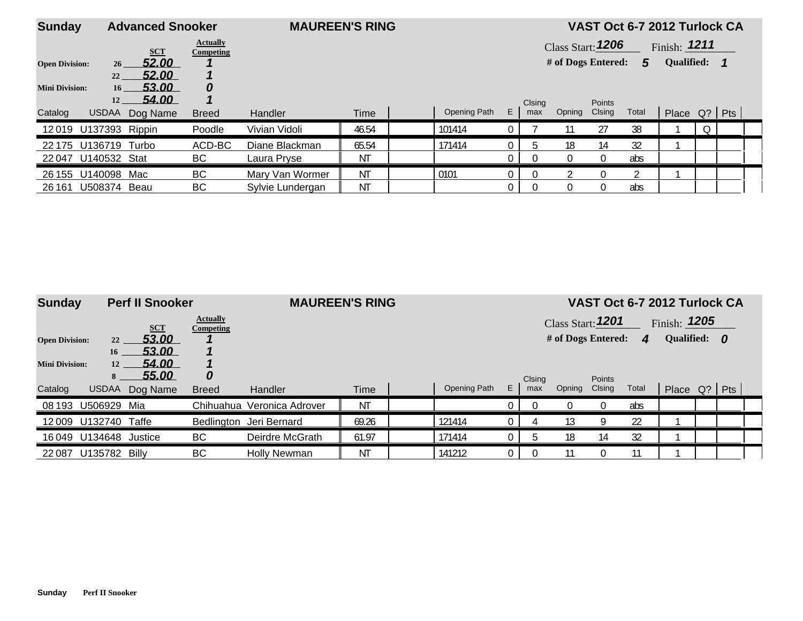| <b>Sunday</b>         |                       | <b>Advanced Snooker</b> |                              | <b>MAUREEN'S RING</b> |             |              |          |               |                    |                         | VAST Oct 6-7 2012 Turlock CA |                |  |  |
|-----------------------|-----------------------|-------------------------|------------------------------|-----------------------|-------------|--------------|----------|---------------|--------------------|-------------------------|------------------------------|----------------|--|--|
|                       |                       | <b>SCT</b>              | <b>Actually</b><br>Competing |                       |             |              |          |               | Class Start: 1206  |                         |                              | Finish: $1211$ |  |  |
| <b>Open Division:</b> | 26 <sup>2</sup>       | 52.00                   |                              |                       |             |              |          |               | # of Dogs Entered: |                         | 5                            | Qualified: 1   |  |  |
|                       | 22                    | 52.00                   |                              |                       |             |              |          |               |                    |                         |                              |                |  |  |
| <b>Mini Division:</b> | 16 <sup>1</sup><br>12 | 53.00<br>54.00          | 0                            |                       |             |              |          |               |                    |                         |                              |                |  |  |
| Catalog               | <b>USDAA</b>          | Dog Name                | <b>Breed</b>                 | <b>Handler</b>        | <b>Time</b> | Opening Path | E.       | Clsing<br>max | Opning             | <b>Points</b><br>Clsing | Total                        | Place Q?   Pts |  |  |
| 12019 U137393 Rippin  |                       |                         | Poodle                       | Vivian Vidoli         | 46.54       | 101414       |          |               |                    | 27                      | 38                           |                |  |  |
| 22 175                | U136719               | Turbo                   | ACD-BC                       | Diane Blackman        | 65.54       | 171414       | $\Omega$ |               | 18                 | 14                      | 32                           |                |  |  |
| 22047                 | U140532 Stat          |                         | BC                           | Laura Pryse           | ΝT          |              | 0        | $\Omega$      |                    | $\overline{0}$          | abs                          |                |  |  |
| 26 155                | U140098               | Mac                     | BC                           | Mary Van Wormer       | <b>NT</b>   | 0101         |          |               |                    | $\left( \right)$        |                              |                |  |  |
| 26 161                | U508374               | Beau                    | BС                           | Sylvie Lundergan      | ΝT          |              | 0        | $\Omega$      |                    | $\Omega$                | abs                          |                |  |  |

| <b>Sunday</b>         |               | <b>Perf II Snooker</b> |                              | <b>MAUREEN'S RING</b>      |             |              |    |        |                    |               | VAST Oct 6-7 2012 Turlock CA |                |  |  |
|-----------------------|---------------|------------------------|------------------------------|----------------------------|-------------|--------------|----|--------|--------------------|---------------|------------------------------|----------------|--|--|
|                       |               | <b>SCT</b>             | <b>Actually</b><br>Competing |                            |             |              |    |        | Class Start: 1201  |               |                              | Finish: $1205$ |  |  |
| <b>Open Division:</b> | 22            | 53.00                  |                              |                            |             |              |    |        | # of Dogs Entered: |               | $\boldsymbol{A}$             | Qualified: 0   |  |  |
|                       | 16            | 53.00                  |                              |                            |             |              |    |        |                    |               |                              |                |  |  |
| <b>Mini Division:</b> | 12            | 54.00                  |                              |                            |             |              |    |        |                    |               |                              |                |  |  |
|                       | 8             | 55.00                  | 0                            |                            |             |              |    | Clsing |                    | <b>Points</b> |                              |                |  |  |
| Catalog               | <b>USDAA</b>  | Dog Name               | <b>Breed</b>                 | Handler                    | <b>Time</b> | Opening Path | E. | max    | Opning             | Clsing        | Total                        | Place Q? Pts   |  |  |
| 08 193                | U506929       | Mia                    |                              | Chihuahua Veronica Adrover | ΝT          |              |    |        |                    | $\Omega$      | abs                          |                |  |  |
| 12009                 | U132740       | Taffe                  |                              | Bedlington Jeri Bernard    | 69.26       | 121414       |    |        | 13                 | Q             | 22                           |                |  |  |
| 16 049                | U134648       | Justice                | <b>BC</b>                    | Deirdre McGrath            | 61.97       | 171414       |    |        | 18                 | 14            | 32                           |                |  |  |
| 22 0 87               | U135782 Billy |                        | BС                           | <b>Holly Newman</b>        | ΝT          | 141212       |    |        | 11                 | $\Omega$      | 11                           |                |  |  |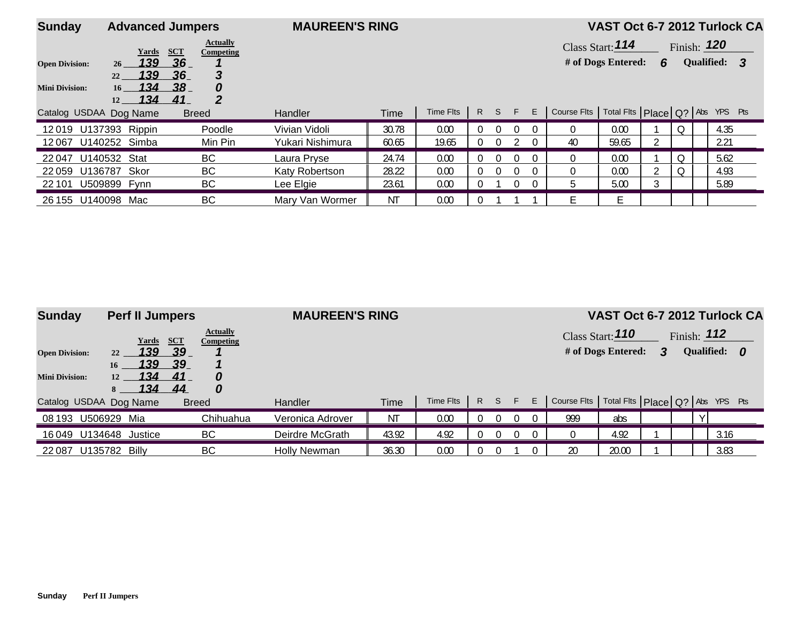| <b>Sunday</b>          | <b>Advanced Jumpers</b>                                 |                                            | <b>MAUREEN'S RING</b> |       |           |              |          |          |          |                                                     | VAST Oct 6-7 2012 Turlock CA |   |         |               |              |  |
|------------------------|---------------------------------------------------------|--------------------------------------------|-----------------------|-------|-----------|--------------|----------|----------|----------|-----------------------------------------------------|------------------------------|---|---------|---------------|--------------|--|
|                        | Yards                                                   | <b>Actually</b><br>SCT<br>Competing        |                       |       |           |              |          |          |          |                                                     | Class Start: 114             |   |         | Finish: $120$ |              |  |
| <b>Open Division:</b>  | 139<br>26                                               | 36                                         |                       |       |           |              |          |          |          |                                                     | # of Dogs Entered:           | 6 |         |               | Qualified: 3 |  |
| <b>Mini Division:</b>  | 139<br>22<br>134<br>16 <sup>1</sup><br>134<br><b>12</b> | 36<br>3<br>38 <sub>1</sub><br>0<br>2<br>41 |                       |       |           |              |          |          |          |                                                     |                              |   |         |               |              |  |
| Catalog USDAA Dog Name |                                                         | <b>Breed</b>                               | <b>Handler</b>        | Time  | Time Flts | $\mathsf{R}$ | $S$ $F$  |          | E        | Course Flts   Total Flts   Place   Q?   Abs YPS Pts |                              |   |         |               |              |  |
| 12019 U137393 Rippin   |                                                         | Poodle                                     | Vivian Vidoli         | 30.78 | 0.00      |              | $\Omega$ | $\Omega$ | ()       |                                                     | 0.00                         |   | $\circ$ |               | 4.35         |  |
| 12067                  | U140252 Simba                                           | Min Pin                                    | Yukari Nishimura      | 60.65 | 19.65     |              | $\Omega$ |          | $\Omega$ | 40                                                  | 59.65                        |   |         |               | 2.21         |  |
| 22 047                 | U140532 Stat                                            | <b>BC</b>                                  | Laura Pryse           | 24.74 | 0.00      |              |          | $\Omega$ | $\Omega$ |                                                     | 0.00                         |   | Q       |               | 5.62         |  |
| 22 059                 | U136787 Skor                                            | BC                                         | Katy Robertson        | 28.22 | 0.00      |              | $\Omega$ |          | $\Omega$ |                                                     | 0.00                         |   | Q       |               | 4.93         |  |
| 22 101                 | U509899 Fynn                                            | BC                                         | Lee Elgie             | 23.61 | 0.00      |              |          |          | $\Omega$ |                                                     | 5.00                         | 3 |         |               | 5.89         |  |
| 26 155 U140098 Mac     |                                                         | BC                                         | Mary Van Wormer       | ΝT    | 0.00      |              |          |          |          |                                                     | Е                            |   |         |               |              |  |

| <b>Sunday</b>                                  | <b>Perf II Jumpers</b>                                               |                                                                            | <b>MAUREEN'S RING</b> |       |           |   |    |    |   | VAST Oct 6-7 2012 Turlock CA                        |                                        |   |               |  |              |  |  |  |
|------------------------------------------------|----------------------------------------------------------------------|----------------------------------------------------------------------------|-----------------------|-------|-----------|---|----|----|---|-----------------------------------------------------|----------------------------------------|---|---------------|--|--------------|--|--|--|
| <b>Open Division:</b><br><b>Mini Division:</b> | <b>Yards</b><br>139<br>22<br>139<br>16<br>134<br>12<br><u> 134  </u> | <b>Actually</b><br><b>SCT</b><br>Competing<br>_39<br>_39.<br>41<br>O<br>44 |                       |       |           |   |    |    |   |                                                     | Class Start: 110<br># of Dogs Entered: | 3 | Finish: $112$ |  | Qualified: 0 |  |  |  |
| Catalog USDAA Dog Name                         | 8                                                                    | 0<br><b>Breed</b>                                                          | <b>Handler</b>        | Time  | Time Flts | R | S. | F. | E | Course Fits   Total Fits   Place   Q?   Abs YPS Pts |                                        |   |               |  |              |  |  |  |
| 08 193                                         | U506929<br>Mia                                                       | Chihuahua                                                                  | Veronica Adrover      | ΝT    | 0.00      |   |    |    |   | 999                                                 | abs                                    |   |               |  |              |  |  |  |
|                                                | 16 049 U134648 Justice                                               | BC                                                                         | Deirdre McGrath       | 43.92 | 4.92      |   |    |    |   |                                                     | 4.92                                   |   |               |  | 3.16         |  |  |  |
| 22 0 87                                        | U135782<br>Billy                                                     | BC                                                                         | <b>Holly Newman</b>   | 36.30 | 0.00      |   |    |    |   | 20                                                  | 20.00                                  |   |               |  | 3.83         |  |  |  |